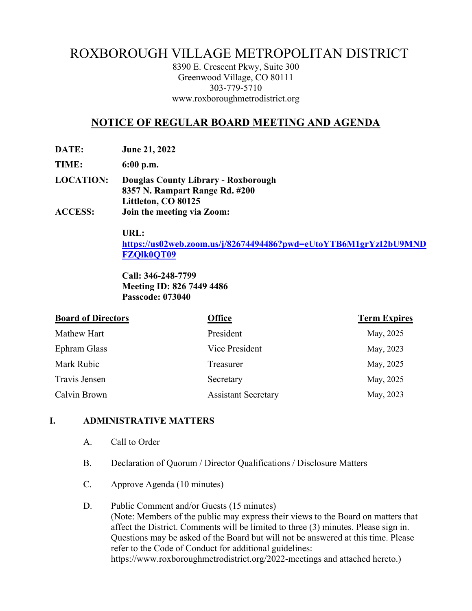# ROXBOROUGH VILLAGE METROPOLITAN DISTRICT

8390 E. Crescent Pkwy, Suite 300 Greenwood Village, CO 80111 303-779-5710 www.roxboroughmetrodistrict.org

# **NOTICE OF REGULAR BOARD MEETING AND AGENDA**

**DATE: June 21, 2022** 

**TIME: 6:00 p.m.** 

**LOCATION: Douglas County Library - Roxborough 8357 N. Rampart Range Rd. #200 Littleton, CO 80125 ACCESS: Join the meeting via Zoom:** 

**URL:** 

**https://us02web.zoom.us/j/82674494486?pwd=eUtoYTB6M1grYzI2bU9MND FZQlk0QT09**

**Call: 346-248-7799 Meeting ID: 826 7449 4486 Passcode: 073040**

| <b>Board of Directors</b> | <b>Office</b>              | <b>Term Expires</b> |
|---------------------------|----------------------------|---------------------|
| Mathew Hart               | President                  | May, 2025           |
| Ephram Glass              | Vice President             | May, 2023           |
| Mark Rubic                | Treasurer                  | May, 2025           |
| Travis Jensen             | Secretary                  | May, 2025           |
| Calvin Brown              | <b>Assistant Secretary</b> | May, 2023           |

#### **I. ADMINISTRATIVE MATTERS**

- A. Call to Order
- B. Declaration of Quorum / Director Qualifications / Disclosure Matters
- C. Approve Agenda (10 minutes)

#### D. Public Comment and/or Guests (15 minutes) (Note: Members of the public may express their views to the Board on matters that affect the District. Comments will be limited to three (3) minutes. Please sign in. Questions may be asked of the Board but will not be answered at this time. Please refer to the Code of Conduct for additional guidelines: https://www.roxboroughmetrodistrict.org/2022-meetings and attached hereto.)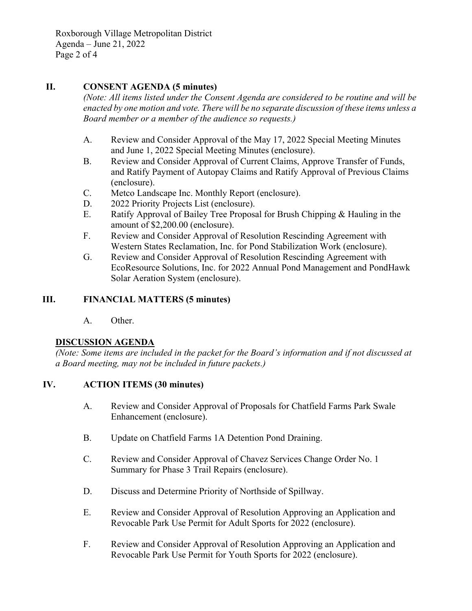Roxborough Village Metropolitan District Agenda – June 21, 2022 Page 2 of 4

## **II. CONSENT AGENDA (5 minutes)**

*(Note: All items listed under the Consent Agenda are considered to be routine and will be enacted by one motion and vote. There will be no separate discussion of these items unless a Board member or a member of the audience so requests.)* 

- A. Review and Consider Approval of the May 17, 2022 Special Meeting Minutes and June 1, 2022 Special Meeting Minutes (enclosure).
- B. Review and Consider Approval of Current Claims, Approve Transfer of Funds, and Ratify Payment of Autopay Claims and Ratify Approval of Previous Claims (enclosure).
- C. Metco Landscape Inc. Monthly Report (enclosure).
- D. 2022 Priority Projects List (enclosure).
- E. Ratify Approval of Bailey Tree Proposal for Brush Chipping & Hauling in the amount of \$2,200.00 (enclosure).
- F. Review and Consider Approval of Resolution Rescinding Agreement with Western States Reclamation, Inc. for Pond Stabilization Work (enclosure).
- G. Review and Consider Approval of Resolution Rescinding Agreement with EcoResource Solutions, Inc. for 2022 Annual Pond Management and PondHawk Solar Aeration System (enclosure).

## **III. FINANCIAL MATTERS (5 minutes)**

A. Other.

## **DISCUSSION AGENDA**

*(Note: Some items are included in the packet for the Board's information and if not discussed at a Board meeting, may not be included in future packets.)* 

## **IV. ACTION ITEMS (30 minutes)**

- A. Review and Consider Approval of Proposals for Chatfield Farms Park Swale Enhancement (enclosure).
- B. Update on Chatfield Farms 1A Detention Pond Draining.
- C. Review and Consider Approval of Chavez Services Change Order No. 1 Summary for Phase 3 Trail Repairs (enclosure).
- D. Discuss and Determine Priority of Northside of Spillway.
- E. Review and Consider Approval of Resolution Approving an Application and Revocable Park Use Permit for Adult Sports for 2022 (enclosure).
- F. Review and Consider Approval of Resolution Approving an Application and Revocable Park Use Permit for Youth Sports for 2022 (enclosure).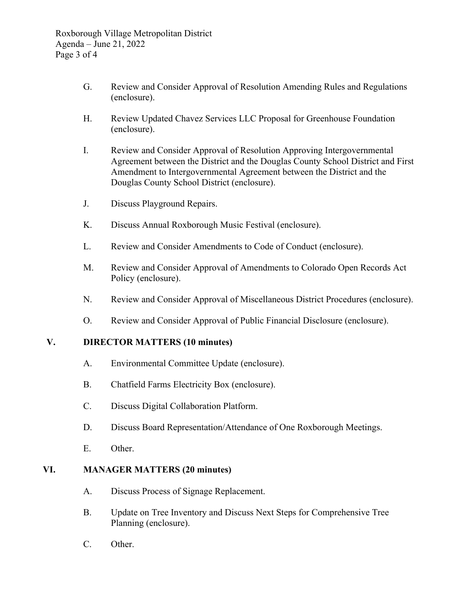- G. Review and Consider Approval of Resolution Amending Rules and Regulations (enclosure).
- H. Review Updated Chavez Services LLC Proposal for Greenhouse Foundation (enclosure).
- I. Review and Consider Approval of Resolution Approving Intergovernmental Agreement between the District and the Douglas County School District and First Amendment to Intergovernmental Agreement between the District and the Douglas County School District (enclosure).
- J. Discuss Playground Repairs.
- K. Discuss Annual Roxborough Music Festival (enclosure).
- L. Review and Consider Amendments to Code of Conduct (enclosure).
- M. Review and Consider Approval of Amendments to Colorado Open Records Act Policy (enclosure).
- N. Review and Consider Approval of Miscellaneous District Procedures (enclosure).
- O. Review and Consider Approval of Public Financial Disclosure (enclosure).

# **V. DIRECTOR MATTERS (10 minutes)**

- A. Environmental Committee Update (enclosure).
- B. Chatfield Farms Electricity Box (enclosure).
- C. Discuss Digital Collaboration Platform.
- D. Discuss Board Representation/Attendance of One Roxborough Meetings.
- E. Other.

## **VI. MANAGER MATTERS (20 minutes)**

- A. Discuss Process of Signage Replacement.
- B. Update on Tree Inventory and Discuss Next Steps for Comprehensive Tree Planning (enclosure).
- C. Other.